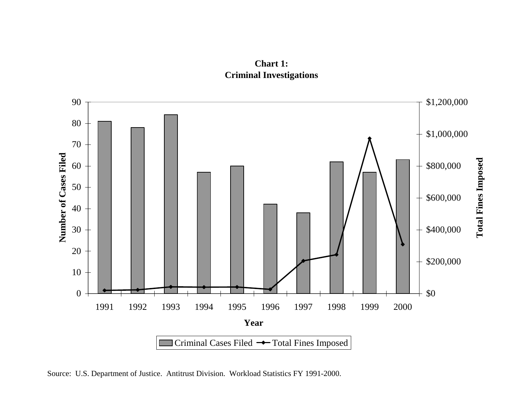



Source: U.S. Department of Justice. Antitrust Division. Workload Statistics FY 1991-2000.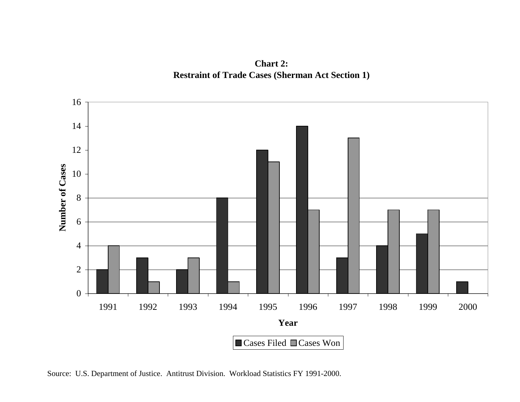



Source: U.S. Department of Justice. Antitrust Division. Workload Statistics FY 1991-2000.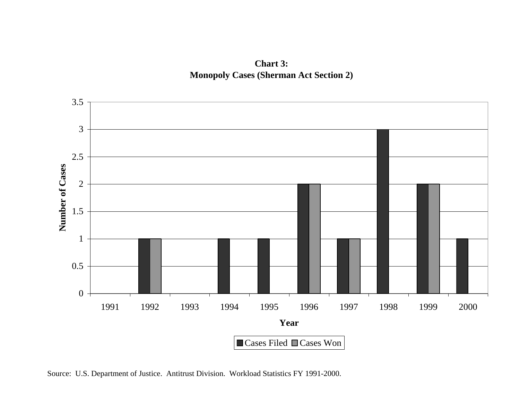



Source: U.S. Department of Justice. Antitrust Division. Workload Statistics FY 1991-2000.